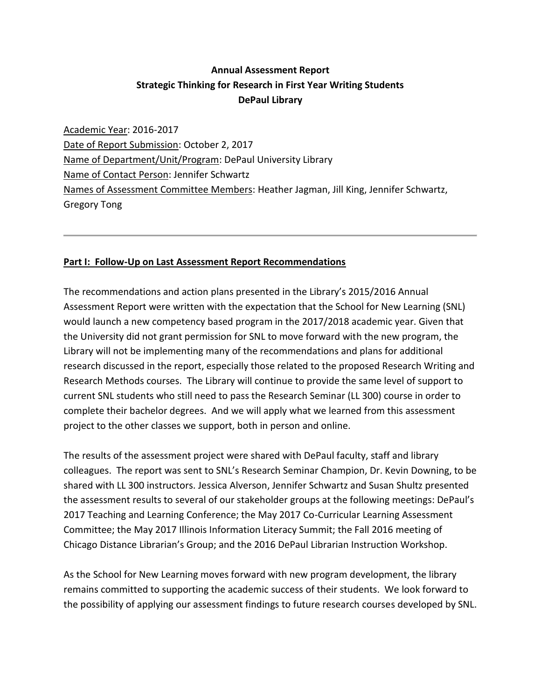## **Annual Assessment Report Strategic Thinking for Research in First Year Writing Students DePaul Library**

Academic Year: 2016-2017 Date of Report Submission: October 2, 2017 Name of Department/Unit/Program: DePaul University Library Name of Contact Person: Jennifer Schwartz Names of Assessment Committee Members: Heather Jagman, Jill King, Jennifer Schwartz, Gregory Tong

## **Part I: Follow-Up on Last Assessment Report Recommendations**

The recommendations and action plans presented in the Library's 2015/2016 Annual Assessment Report were written with the expectation that the School for New Learning (SNL) would launch a new competency based program in the 2017/2018 academic year. Given that the University did not grant permission for SNL to move forward with the new program, the Library will not be implementing many of the recommendations and plans for additional research discussed in the report, especially those related to the proposed Research Writing and Research Methods courses. The Library will continue to provide the same level of support to current SNL students who still need to pass the Research Seminar (LL 300) course in order to complete their bachelor degrees. And we will apply what we learned from this assessment project to the other classes we support, both in person and online.

The results of the assessment project were shared with DePaul faculty, staff and library colleagues. The report was sent to SNL's Research Seminar Champion, Dr. Kevin Downing, to be shared with LL 300 instructors. Jessica Alverson, Jennifer Schwartz and Susan Shultz presented the assessment results to several of our stakeholder groups at the following meetings: DePaul's 2017 Teaching and Learning Conference; the May 2017 Co-Curricular Learning Assessment Committee; the May 2017 Illinois Information Literacy Summit; the Fall 2016 meeting of Chicago Distance Librarian's Group; and the 2016 DePaul Librarian Instruction Workshop.

As the School for New Learning moves forward with new program development, the library remains committed to supporting the academic success of their students. We look forward to the possibility of applying our assessment findings to future research courses developed by SNL.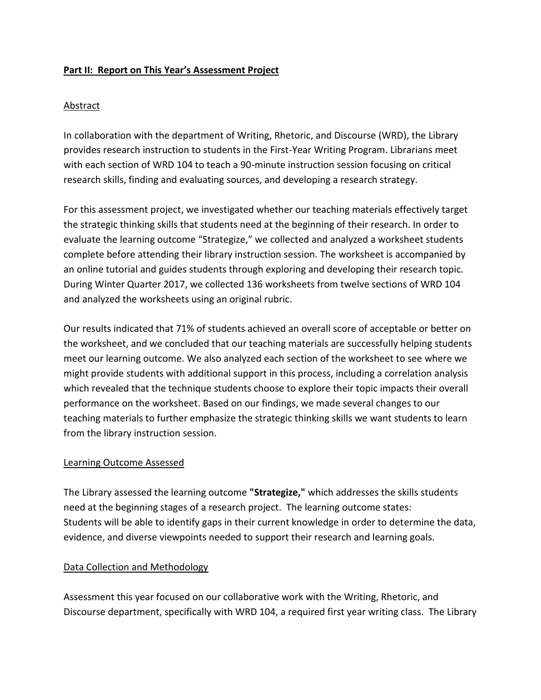### **Part II: Report on This Year's Assessment Project**

### Abstract

In collaboration with the department of Writing, Rhetoric, and Discourse (WRD), the Library provides research instruction to students in the First-Year Writing Program. Librarians meet with each section of WRD 104 to teach a 90-minute instruction session focusing on critical research skills, finding and evaluating sources, and developing a research strategy.

For this assessment project, we investigated whether our teaching materials effectively target the strategic thinking skills that students need at the beginning of their research. In order to evaluate the learning outcome "Strategize," we collected and analyzed a worksheet students complete before attending their library instruction session. The worksheet is accompanied by an online tutorial and guides students through exploring and developing their research topic. During Winter Quarter 2017, we collected 136 worksheets from twelve sections of WRD 104 and analyzed the worksheets using an original rubric.

Our results indicated that 71% of students achieved an overall score of acceptable or better on the worksheet, and we concluded that our teaching materials are successfully helping students meet our learning outcome. We also analyzed each section of the worksheet to see where we might provide students with additional support in this process, including a correlation analysis which revealed that the technique students choose to explore their topic impacts their overall performance on the worksheet. Based on our findings, we made several changes to our teaching materials to further emphasize the strategic thinking skills we want students to learn from the library instruction session.

#### Learning Outcome Assessed

The Library assessed the learning outcome **"Strategize,"** which addresses the skills students need at the beginning stages of a research project. The learning outcome states: Students will be able to identify gaps in their current knowledge in order to determine the data, evidence, and diverse viewpoints needed to support their research and learning goals.

#### Data Collection and Methodology

Assessment this year focused on our collaborative work with the Writing, Rhetoric, and Discourse department, specifically with WRD 104, a required first year writing class. The Library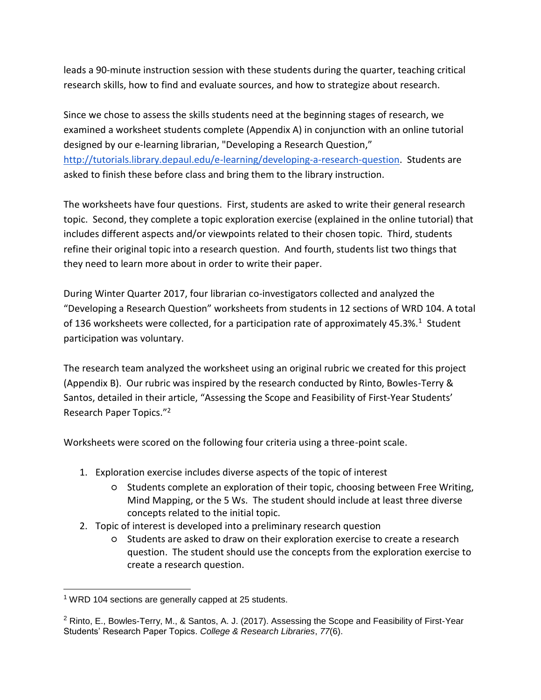leads a 90-minute instruction session with these students during the quarter, teaching critical research skills, how to find and evaluate sources, and how to strategize about research.

Since we chose to assess the skills students need at the beginning stages of research, we examined a worksheet students complete (Appendix A) in conjunction with an online tutorial designed by our e-learning librarian, "Developing a Research Question," [http://tutorials.library.depaul.edu/e-learning/developing-a-research-question.](http://tutorials.library.depaul.edu/e-learning/developing-a-research-question) Students are asked to finish these before class and bring them to the library instruction.

The worksheets have four questions. First, students are asked to write their general research topic. Second, they complete a topic exploration exercise (explained in the online tutorial) that includes different aspects and/or viewpoints related to their chosen topic. Third, students refine their original topic into a research question. And fourth, students list two things that they need to learn more about in order to write their paper.

During Winter Quarter 2017, four librarian co-investigators collected and analyzed the "Developing a Research Question" worksheets from students in 12 sections of WRD 104. A total of 136 worksheets were collected, for a participation rate of approximately 45.3%.<sup>1</sup> Student participation was voluntary.

The research team analyzed the worksheet using an original rubric we created for this project (Appendix B). Our rubric was inspired by the research conducted by Rinto, Bowles-Terry & Santos, detailed in their article, "Assessing the Scope and Feasibility of First-Year Students' Research Paper Topics."<sup>2</sup>

Worksheets were scored on the following four criteria using a three-point scale.

- 1. Exploration exercise includes diverse aspects of the topic of interest
	- Students complete an exploration of their topic, choosing between Free Writing, Mind Mapping, or the 5 Ws. The student should include at least three diverse concepts related to the initial topic.
- 2. Topic of interest is developed into a preliminary research question
	- Students are asked to draw on their exploration exercise to create a research question. The student should use the concepts from the exploration exercise to create a research question.

 $1$  WRD 104 sections are generally capped at 25 students.

<sup>2</sup> Rinto, E., Bowles-Terry, M., & Santos, A. J. (2017). Assessing the Scope and Feasibility of First-Year Students' Research Paper Topics. *College & Research Libraries*, *77*(6).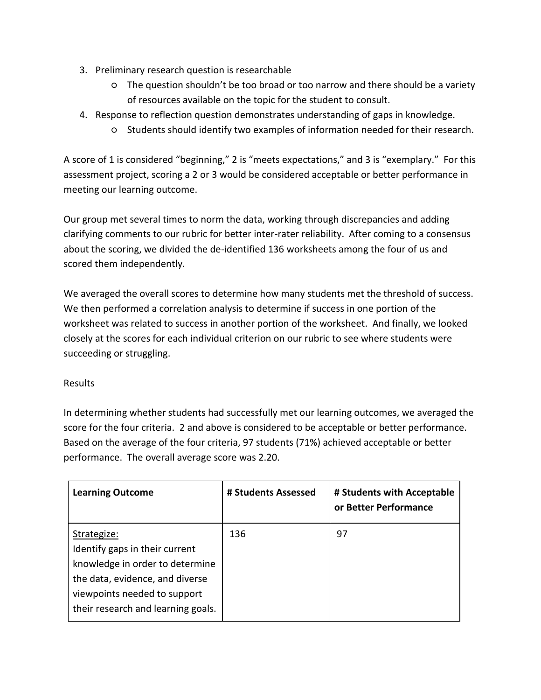- 3. Preliminary research question is researchable
	- The question shouldn't be too broad or too narrow and there should be a variety of resources available on the topic for the student to consult.
- 4. Response to reflection question demonstrates understanding of gaps in knowledge.
	- Students should identify two examples of information needed for their research.

A score of 1 is considered "beginning," 2 is "meets expectations," and 3 is "exemplary." For this assessment project, scoring a 2 or 3 would be considered acceptable or better performance in meeting our learning outcome.

Our group met several times to norm the data, working through discrepancies and adding clarifying comments to our rubric for better inter-rater reliability. After coming to a consensus about the scoring, we divided the de-identified 136 worksheets among the four of us and scored them independently.

We averaged the overall scores to determine how many students met the threshold of success. We then performed a correlation analysis to determine if success in one portion of the worksheet was related to success in another portion of the worksheet. And finally, we looked closely at the scores for each individual criterion on our rubric to see where students were succeeding or struggling.

## **Results**

In determining whether students had successfully met our learning outcomes, we averaged the score for the four criteria. 2 and above is considered to be acceptable or better performance. Based on the average of the four criteria, 97 students (71%) achieved acceptable or better performance. The overall average score was 2.20.

| <b>Learning Outcome</b>                                                                                                                                                                   | # Students Assessed | # Students with Acceptable<br>or Better Performance |
|-------------------------------------------------------------------------------------------------------------------------------------------------------------------------------------------|---------------------|-----------------------------------------------------|
| Strategize:<br>Identify gaps in their current<br>knowledge in order to determine<br>the data, evidence, and diverse<br>viewpoints needed to support<br>their research and learning goals. | 136                 | 97                                                  |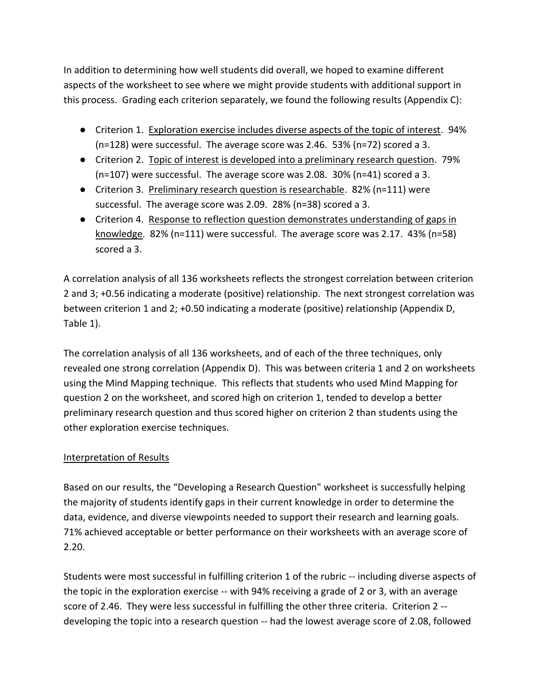In addition to determining how well students did overall, we hoped to examine different aspects of the worksheet to see where we might provide students with additional support in this process. Grading each criterion separately, we found the following results (Appendix C):

- Criterion 1. Exploration exercise includes diverse aspects of the topic of interest. 94% (n=128) were successful. The average score was 2.46. 53% (n=72) scored a 3.
- Criterion 2. Topic of interest is developed into a preliminary research question. 79% (n=107) were successful. The average score was 2.08. 30% (n=41) scored a 3.
- Criterion 3. Preliminary research question is researchable. 82% (n=111) were successful. The average score was 2.09. 28% (n=38) scored a 3.
- Criterion 4. Response to reflection question demonstrates understanding of gaps in knowledge. 82% (n=111) were successful. The average score was 2.17. 43% (n=58) scored a 3.

A correlation analysis of all 136 worksheets reflects the strongest correlation between criterion 2 and 3; +0.56 indicating a moderate (positive) relationship. The next strongest correlation was between criterion 1 and 2; +0.50 indicating a moderate (positive) relationship (Appendix D, Table 1).

The correlation analysis of all 136 worksheets, and of each of the three techniques, only revealed one strong correlation (Appendix D). This was between criteria 1 and 2 on worksheets using the Mind Mapping technique. This reflects that students who used Mind Mapping for question 2 on the worksheet, and scored high on criterion 1, tended to develop a better preliminary research question and thus scored higher on criterion 2 than students using the other exploration exercise techniques.

## Interpretation of Results

Based on our results, the "Developing a Research Question" worksheet is successfully helping the majority of students identify gaps in their current knowledge in order to determine the data, evidence, and diverse viewpoints needed to support their research and learning goals. 71% achieved acceptable or better performance on their worksheets with an average score of 2.20.

Students were most successful in fulfilling criterion 1 of the rubric -- including diverse aspects of the topic in the exploration exercise -- with 94% receiving a grade of 2 or 3, with an average score of 2.46. They were less successful in fulfilling the other three criteria. Criterion 2 - developing the topic into a research question -- had the lowest average score of 2.08, followed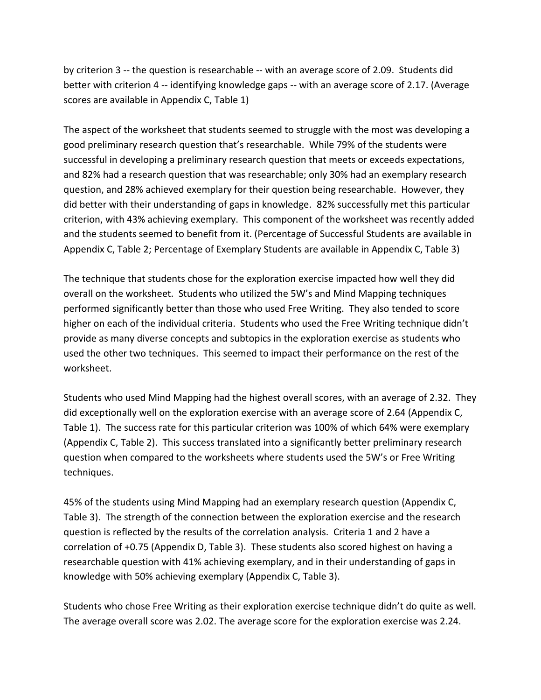by criterion 3 -- the question is researchable -- with an average score of 2.09. Students did better with criterion 4 -- identifying knowledge gaps -- with an average score of 2.17. (Average scores are available in Appendix C, Table 1)

The aspect of the worksheet that students seemed to struggle with the most was developing a good preliminary research question that's researchable. While 79% of the students were successful in developing a preliminary research question that meets or exceeds expectations, and 82% had a research question that was researchable; only 30% had an exemplary research question, and 28% achieved exemplary for their question being researchable. However, they did better with their understanding of gaps in knowledge. 82% successfully met this particular criterion, with 43% achieving exemplary. This component of the worksheet was recently added and the students seemed to benefit from it. (Percentage of Successful Students are available in Appendix C, Table 2; Percentage of Exemplary Students are available in Appendix C, Table 3)

The technique that students chose for the exploration exercise impacted how well they did overall on the worksheet. Students who utilized the 5W's and Mind Mapping techniques performed significantly better than those who used Free Writing. They also tended to score higher on each of the individual criteria. Students who used the Free Writing technique didn't provide as many diverse concepts and subtopics in the exploration exercise as students who used the other two techniques. This seemed to impact their performance on the rest of the worksheet.

Students who used Mind Mapping had the highest overall scores, with an average of 2.32. They did exceptionally well on the exploration exercise with an average score of 2.64 (Appendix C, Table 1). The success rate for this particular criterion was 100% of which 64% were exemplary (Appendix C, Table 2). This success translated into a significantly better preliminary research question when compared to the worksheets where students used the 5W's or Free Writing techniques.

45% of the students using Mind Mapping had an exemplary research question (Appendix C, Table 3). The strength of the connection between the exploration exercise and the research question is reflected by the results of the correlation analysis. Criteria 1 and 2 have a correlation of +0.75 (Appendix D, Table 3). These students also scored highest on having a researchable question with 41% achieving exemplary, and in their understanding of gaps in knowledge with 50% achieving exemplary (Appendix C, Table 3).

Students who chose Free Writing as their exploration exercise technique didn't do quite as well. The average overall score was 2.02. The average score for the exploration exercise was 2.24.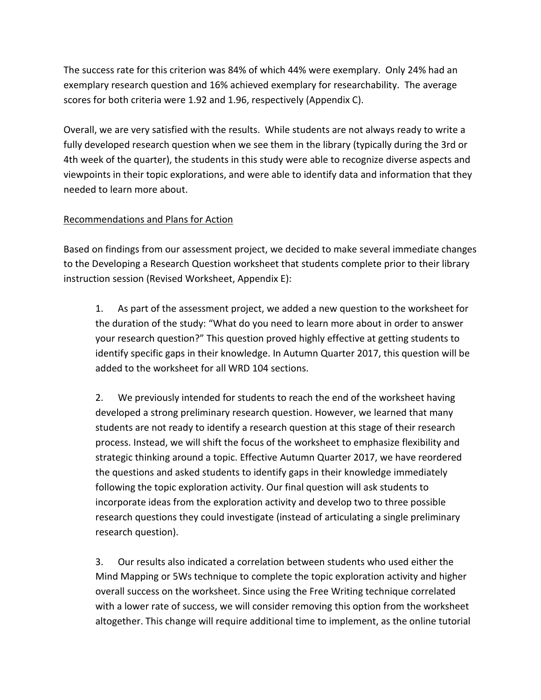The success rate for this criterion was 84% of which 44% were exemplary. Only 24% had an exemplary research question and 16% achieved exemplary for researchability. The average scores for both criteria were 1.92 and 1.96, respectively (Appendix C).

Overall, we are very satisfied with the results. While students are not always ready to write a fully developed research question when we see them in the library (typically during the 3rd or 4th week of the quarter), the students in this study were able to recognize diverse aspects and viewpoints in their topic explorations, and were able to identify data and information that they needed to learn more about.

## Recommendations and Plans for Action

Based on findings from our assessment project, we decided to make several immediate changes to the Developing a Research Question worksheet that students complete prior to their library instruction session (Revised Worksheet, Appendix E):

1. As part of the assessment project, we added a new question to the worksheet for the duration of the study: "What do you need to learn more about in order to answer your research question?" This question proved highly effective at getting students to identify specific gaps in their knowledge. In Autumn Quarter 2017, this question will be added to the worksheet for all WRD 104 sections.

2. We previously intended for students to reach the end of the worksheet having developed a strong preliminary research question. However, we learned that many students are not ready to identify a research question at this stage of their research process. Instead, we will shift the focus of the worksheet to emphasize flexibility and strategic thinking around a topic. Effective Autumn Quarter 2017, we have reordered the questions and asked students to identify gaps in their knowledge immediately following the topic exploration activity. Our final question will ask students to incorporate ideas from the exploration activity and develop two to three possible research questions they could investigate (instead of articulating a single preliminary research question).

3. Our results also indicated a correlation between students who used either the Mind Mapping or 5Ws technique to complete the topic exploration activity and higher overall success on the worksheet. Since using the Free Writing technique correlated with a lower rate of success, we will consider removing this option from the worksheet altogether. This change will require additional time to implement, as the online tutorial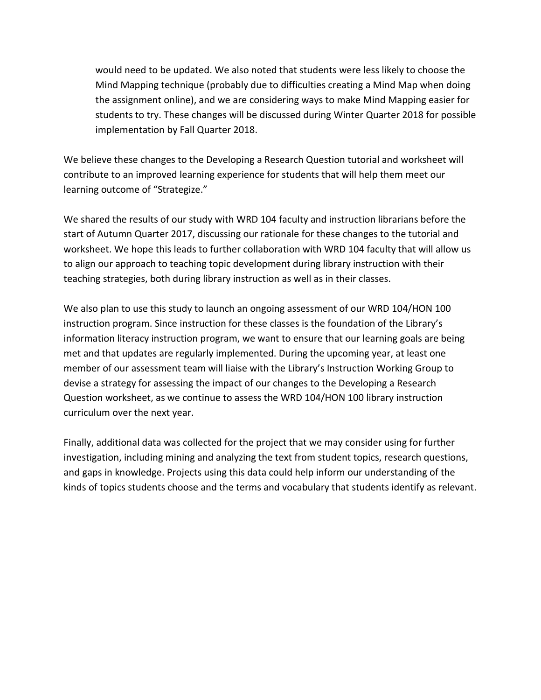would need to be updated. We also noted that students were less likely to choose the Mind Mapping technique (probably due to difficulties creating a Mind Map when doing the assignment online), and we are considering ways to make Mind Mapping easier for students to try. These changes will be discussed during Winter Quarter 2018 for possible implementation by Fall Quarter 2018.

We believe these changes to the Developing a Research Question tutorial and worksheet will contribute to an improved learning experience for students that will help them meet our learning outcome of "Strategize."

We shared the results of our study with WRD 104 faculty and instruction librarians before the start of Autumn Quarter 2017, discussing our rationale for these changes to the tutorial and worksheet. We hope this leads to further collaboration with WRD 104 faculty that will allow us to align our approach to teaching topic development during library instruction with their teaching strategies, both during library instruction as well as in their classes.

We also plan to use this study to launch an ongoing assessment of our WRD 104/HON 100 instruction program. Since instruction for these classes is the foundation of the Library's information literacy instruction program, we want to ensure that our learning goals are being met and that updates are regularly implemented. During the upcoming year, at least one member of our assessment team will liaise with the Library's Instruction Working Group to devise a strategy for assessing the impact of our changes to the Developing a Research Question worksheet, as we continue to assess the WRD 104/HON 100 library instruction curriculum over the next year.

Finally, additional data was collected for the project that we may consider using for further investigation, including mining and analyzing the text from student topics, research questions, and gaps in knowledge. Projects using this data could help inform our understanding of the kinds of topics students choose and the terms and vocabulary that students identify as relevant.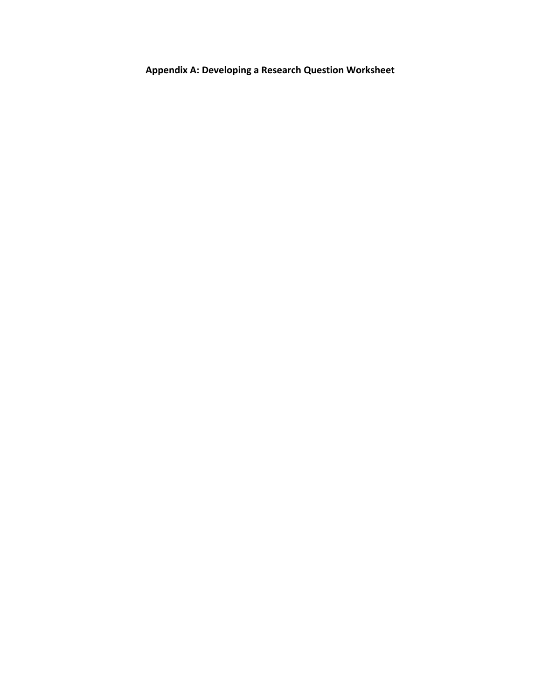**Appendix A: Developing a Research Question Worksheet**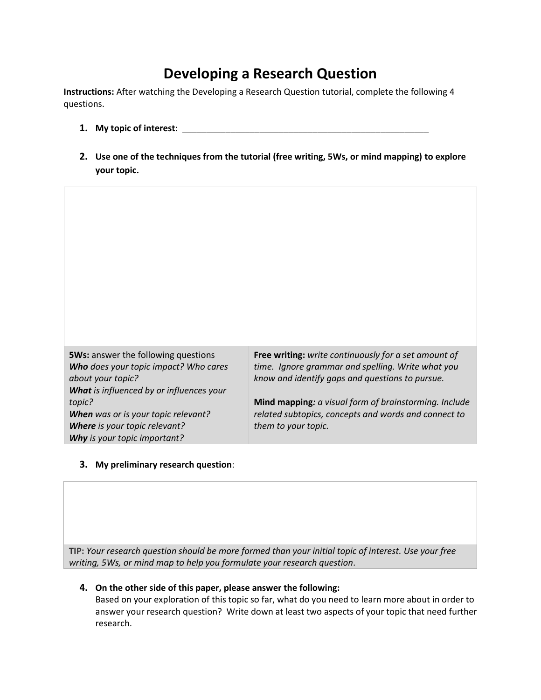# **Developing a Research Question**

**Instructions:** After watching the Developing a Research Question tutorial, complete the following 4 questions.

- **1. My topic of interest**: \_\_\_\_\_\_\_\_\_\_\_\_\_\_\_\_\_\_\_\_\_\_\_\_\_\_\_\_\_\_\_\_\_\_\_\_\_\_\_\_\_\_\_\_\_\_\_\_\_\_\_
- **2. Use one of the techniques from the tutorial (free writing, 5Ws, or mind mapping) to explore your topic.**

| <b>5Ws:</b> answer the following questions<br>Who does your topic impact? Who cares<br>about your topic? | Free writing: write continuously for a set amount of<br>time. Ignore grammar and spelling. Write what you<br>know and identify gaps and questions to pursue. |
|----------------------------------------------------------------------------------------------------------|--------------------------------------------------------------------------------------------------------------------------------------------------------------|
| What is influenced by or influences your                                                                 |                                                                                                                                                              |
| topic?                                                                                                   | Mind mapping: a visual form of brainstorming. Include                                                                                                        |
| When was or is your topic relevant?                                                                      | related subtopics, concepts and words and connect to                                                                                                         |
| <b>Where</b> is your topic relevant?                                                                     | them to your topic.                                                                                                                                          |
| Why is your topic important?                                                                             |                                                                                                                                                              |

#### **3. My preliminary research question**:

**TIP:** *Your research question should be more formed than your initial topic of interest. Use your free writing, 5Ws, or mind map to help you formulate your research question*.

#### **4. On the other side of this paper, please answer the following:**

Based on your exploration of this topic so far, what do you need to learn more about in order to answer your research question? Write down at least two aspects of your topic that need further research.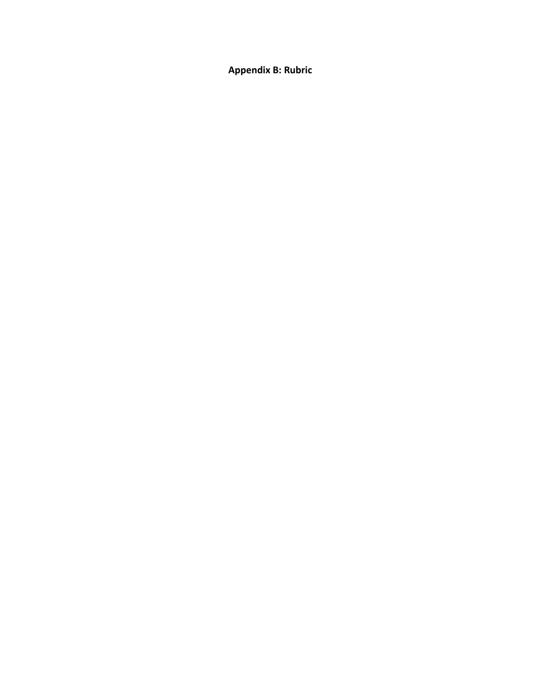**Appendix B: Rubric**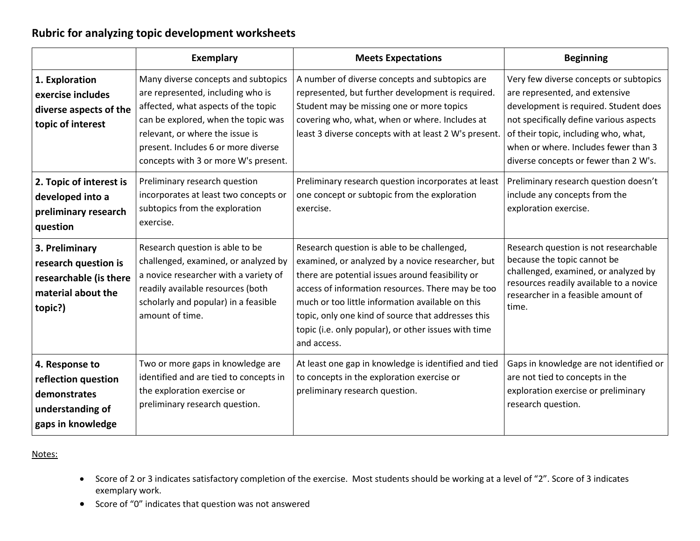## **Rubric for analyzing topic development worksheets**

|                                                                                                   | <b>Exemplary</b>                                                                                                                                                                                                                                                         | <b>Meets Expectations</b>                                                                                                                                                                                                                                                                                                                                                                  | <b>Beginning</b>                                                                                                                                                                                                                                                                      |
|---------------------------------------------------------------------------------------------------|--------------------------------------------------------------------------------------------------------------------------------------------------------------------------------------------------------------------------------------------------------------------------|--------------------------------------------------------------------------------------------------------------------------------------------------------------------------------------------------------------------------------------------------------------------------------------------------------------------------------------------------------------------------------------------|---------------------------------------------------------------------------------------------------------------------------------------------------------------------------------------------------------------------------------------------------------------------------------------|
| 1. Exploration<br>exercise includes<br>diverse aspects of the<br>topic of interest                | Many diverse concepts and subtopics<br>are represented, including who is<br>affected, what aspects of the topic<br>can be explored, when the topic was<br>relevant, or where the issue is<br>present. Includes 6 or more diverse<br>concepts with 3 or more W's present. | A number of diverse concepts and subtopics are<br>represented, but further development is required.<br>Student may be missing one or more topics<br>covering who, what, when or where. Includes at<br>least 3 diverse concepts with at least 2 W's present.                                                                                                                                | Very few diverse concepts or subtopics<br>are represented, and extensive<br>development is required. Student does<br>not specifically define various aspects<br>of their topic, including who, what,<br>when or where. Includes fewer than 3<br>diverse concepts or fewer than 2 W's. |
| 2. Topic of interest is<br>developed into a<br>preliminary research<br>question                   | Preliminary research question<br>incorporates at least two concepts or<br>subtopics from the exploration<br>exercise.                                                                                                                                                    | Preliminary research question incorporates at least<br>one concept or subtopic from the exploration<br>exercise.                                                                                                                                                                                                                                                                           | Preliminary research question doesn't<br>include any concepts from the<br>exploration exercise.                                                                                                                                                                                       |
| 3. Preliminary<br>research question is<br>researchable (is there<br>material about the<br>topic?) | Research question is able to be<br>challenged, examined, or analyzed by<br>a novice researcher with a variety of<br>readily available resources (both<br>scholarly and popular) in a feasible<br>amount of time.                                                         | Research question is able to be challenged,<br>examined, or analyzed by a novice researcher, but<br>there are potential issues around feasibility or<br>access of information resources. There may be too<br>much or too little information available on this<br>topic, only one kind of source that addresses this<br>topic (i.e. only popular), or other issues with time<br>and access. | Research question is not researchable<br>because the topic cannot be<br>challenged, examined, or analyzed by<br>resources readily available to a novice<br>researcher in a feasible amount of<br>time.                                                                                |
| 4. Response to<br>reflection question<br>demonstrates<br>understanding of<br>gaps in knowledge    | Two or more gaps in knowledge are<br>identified and are tied to concepts in<br>the exploration exercise or<br>preliminary research question.                                                                                                                             | At least one gap in knowledge is identified and tied<br>to concepts in the exploration exercise or<br>preliminary research question.                                                                                                                                                                                                                                                       | Gaps in knowledge are not identified or<br>are not tied to concepts in the<br>exploration exercise or preliminary<br>research question.                                                                                                                                               |

Notes:

- Score of 2 or 3 indicates satisfactory completion of the exercise. Most students should be working at a level of "2". Score of 3 indicates exemplary work.
- Score of "0" indicates that question was not answered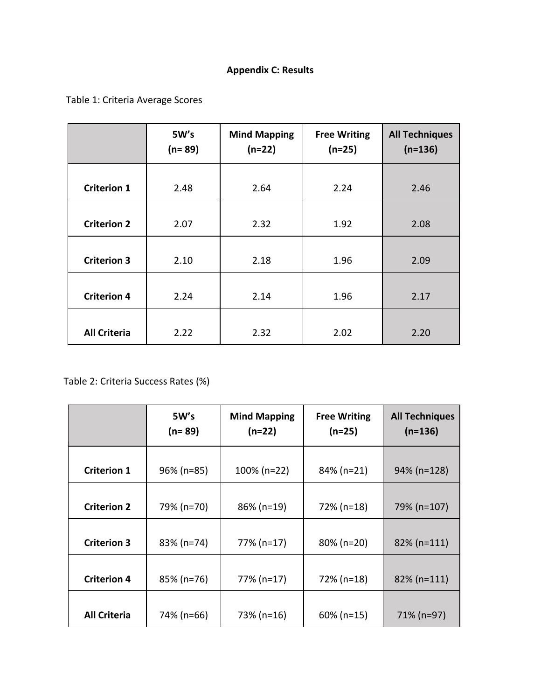## **Appendix C: Results**

Table 1: Criteria Average Scores

|                     | 5W's<br>$(n=89)$ | <b>Mind Mapping</b><br>$(n=22)$ | <b>Free Writing</b><br>$(n=25)$ | <b>All Techniques</b><br>$(n=136)$ |
|---------------------|------------------|---------------------------------|---------------------------------|------------------------------------|
| <b>Criterion 1</b>  | 2.48             | 2.64                            | 2.24                            | 2.46                               |
| <b>Criterion 2</b>  | 2.07             | 2.32                            | 1.92                            | 2.08                               |
| <b>Criterion 3</b>  | 2.10             | 2.18                            | 1.96                            | 2.09                               |
| <b>Criterion 4</b>  | 2.24             | 2.14                            | 1.96                            | 2.17                               |
| <b>All Criteria</b> | 2.22             | 2.32                            | 2.02                            | 2.20                               |

Table 2: Criteria Success Rates (%)

|                     | 5W's<br>(n= 89) | <b>Mind Mapping</b><br>$(n=22)$ | <b>Free Writing</b><br>$(n=25)$ | <b>All Techniques</b><br>$(n=136)$ |
|---------------------|-----------------|---------------------------------|---------------------------------|------------------------------------|
| <b>Criterion 1</b>  | $96\%$ (n=85)   | $100\%$ (n=22)                  | 84% (n=21)                      | 94% (n=128)                        |
| <b>Criterion 2</b>  | 79% (n=70)      | 86% (n=19)                      | 72% (n=18)                      | 79% (n=107)                        |
| <b>Criterion 3</b>  | 83% (n=74)      | 77% (n=17)                      | 80% (n=20)                      | 82% (n=111)                        |
| <b>Criterion 4</b>  | 85% (n=76)      | 77% (n=17)                      | 72% (n=18)                      | 82% (n=111)                        |
| <b>All Criteria</b> | 74% (n=66)      | 73% (n=16)                      | $60\%$ (n=15)                   | 71% (n=97)                         |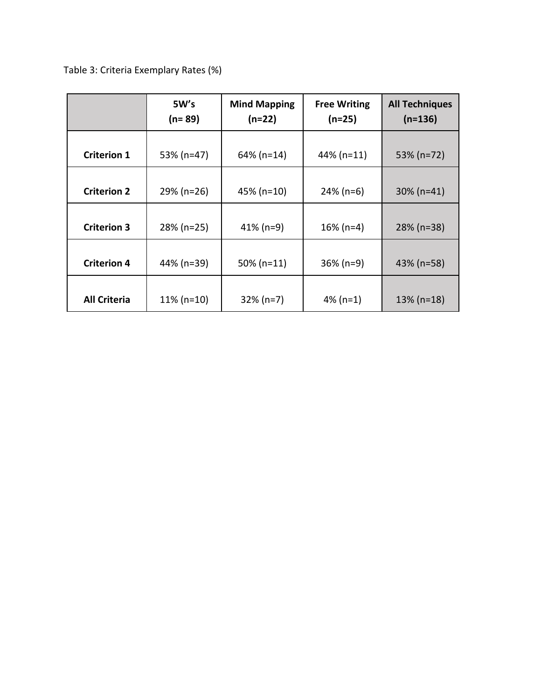Table 3: Criteria Exemplary Rates (%)

|                     | 5W's<br>(n= 89) | <b>Mind Mapping</b><br>$(n=22)$ | <b>Free Writing</b><br>$(n=25)$ | <b>All Techniques</b><br>$(n=136)$ |
|---------------------|-----------------|---------------------------------|---------------------------------|------------------------------------|
| <b>Criterion 1</b>  | 53% (n=47)      | 64% (n=14)                      | $44\%$ (n=11)                   | 53% (n=72)                         |
| <b>Criterion 2</b>  | 29% (n=26)      | 45% (n=10)                      | $24\%$ (n=6)                    | $30\%$ (n=41)                      |
| <b>Criterion 3</b>  | 28% (n=25)      | $41\%$ (n=9)                    | $16\%$ (n=4)                    | $28\%$ (n=38)                      |
| <b>Criterion 4</b>  | 44% (n=39)      | $50\%$ (n=11)                   | $36\%$ (n=9)                    | 43% (n=58)                         |
| <b>All Criteria</b> | $11\%$ (n=10)   | $32\%$ (n=7)                    | 4% ( $n=1$ )                    | $13\%$ (n=18)                      |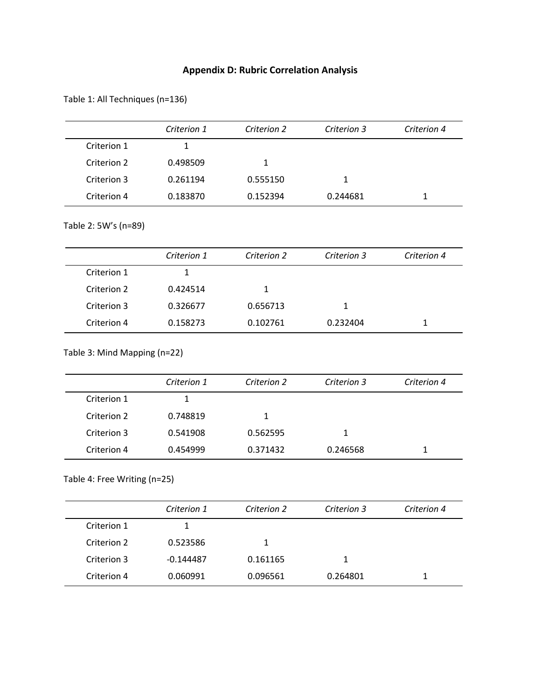## **Appendix D: Rubric Correlation Analysis**

Table 1: All Techniques (n=136)

|             | Criterion 1 | Criterion 2 | Criterion 3 | Criterion 4 |
|-------------|-------------|-------------|-------------|-------------|
| Criterion 1 |             |             |             |             |
| Criterion 2 | 0.498509    |             |             |             |
| Criterion 3 | 0.261194    | 0.555150    |             |             |
| Criterion 4 | 0.183870    | 0.152394    | 0.244681    | 1           |

## Table 2: 5W's (n=89)

|             | Criterion 1 | Criterion 2 | Criterion 3 | Criterion 4 |
|-------------|-------------|-------------|-------------|-------------|
| Criterion 1 |             |             |             |             |
| Criterion 2 | 0.424514    |             |             |             |
| Criterion 3 | 0.326677    | 0.656713    |             |             |
| Criterion 4 | 0.158273    | 0.102761    | 0.232404    |             |

### Table 3: Mind Mapping (n=22)

|             | Criterion 1 | Criterion 2 | Criterion 3 | Criterion 4 |
|-------------|-------------|-------------|-------------|-------------|
| Criterion 1 |             |             |             |             |
| Criterion 2 | 0.748819    |             |             |             |
| Criterion 3 | 0.541908    | 0.562595    | 1.          |             |
| Criterion 4 | 0.454999    | 0.371432    | 0.246568    |             |

## Table 4: Free Writing (n=25)

|             | Criterion 1 | Criterion 2 | Criterion 3 | Criterion 4 |
|-------------|-------------|-------------|-------------|-------------|
| Criterion 1 |             |             |             |             |
| Criterion 2 | 0.523586    |             |             |             |
| Criterion 3 | $-0.144487$ | 0.161165    |             |             |
| Criterion 4 | 0.060991    | 0.096561    | 0.264801    |             |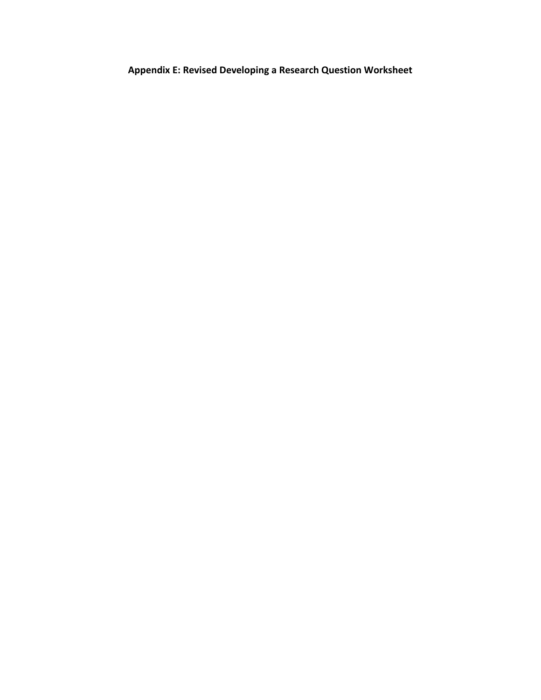**Appendix E: Revised Developing a Research Question Worksheet**